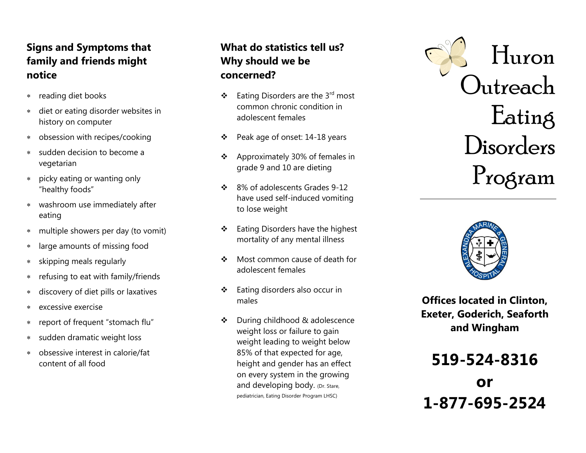## **Signs and Symptoms that family and friends might notice**

- reading diet books  $\ast$
- diet or eating disorder websites in  $\star$ history on computer
- obsession with recipes/cooking  $\star$
- sudden decision to become a  $\star$ vegetarian
- picky eating or wanting only  $\star$ "healthy foods"
- washroom use immediately after eating
- multiple showers per day (to vomit)  $\star$
- large amounts of missing food  $\star$
- skipping meals regularly  $\ast$
- refusing to eat with family/friends  $\star$
- discovery of diet pills or laxatives  $\ast$
- excessive exercise  $\ast$
- report of frequent "stomach flu"  $\ast$
- sudden dramatic weight loss  $\star$
- obsessive interest in calorie/fat  $\ast$ content of all food

# **What do statistics tell us? Why should we be concerned?**

- $\triangleleft$  Eating Disorders are the 3<sup>rd</sup> most common chronic condition in adolescent females
- ❖ Peak age of onset: 14-18 years
- Approximately 30% of females in grade 9 and 10 are dieting
- ❖ 8% of adolescents Grades 9-12 have used self -induced vomiting to lose weight
- ❖ Eating Disorders have the highest mortality of any mental illness
- Most common cause of death for adolescent females
- Eating disorders also occur in males
- During childhood & adolescence weight loss or failure to gain weight leading to weight below 85% of that expected for age, height and gender has an effect on every system in the growing and developing body. (Dr. Stare, pediatrician, Eating Disorder Program LHSC)





**Offices located in Clinton, Exeter, Goderich, Seaforth and Wingham**

```
519
-524
-8316
       or
1
-877
-695
-2524
```